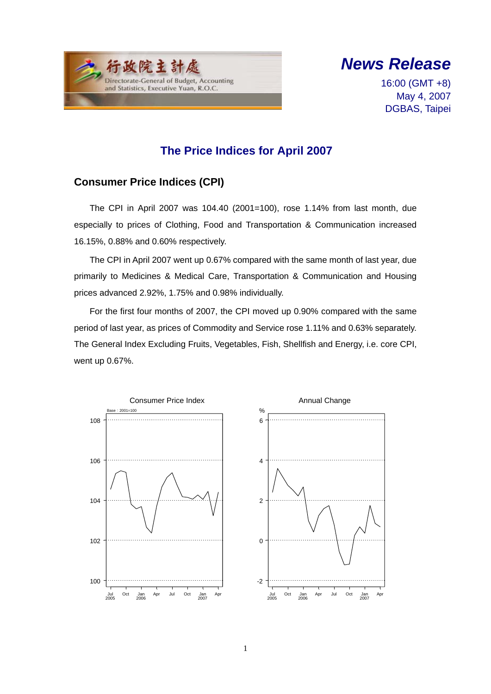



16:00 (GMT +8) May 4, 2007 DGBAS, Taipei

### **The Price Indices for April 2007**

#### **Consumer Price Indices (CPI)**

The CPI in April 2007 was 104.40 (2001=100), rose 1.14% from last month, due especially to prices of Clothing, Food and Transportation & Communication increased 16.15%, 0.88% and 0.60% respectively.

The CPI in April 2007 went up 0.67% compared with the same month of last year, due primarily to Medicines & Medical Care, Transportation & Communication and Housing prices advanced 2.92%, 1.75% and 0.98% individually.

For the first four months of 2007, the CPI moved up 0.90% compared with the same period of last year, as prices of Commodity and Service rose 1.11% and 0.63% separately. The General Index Excluding Fruits, Vegetables, Fish, Shellfish and Energy, i.e. core CPI, went up 0.67%.



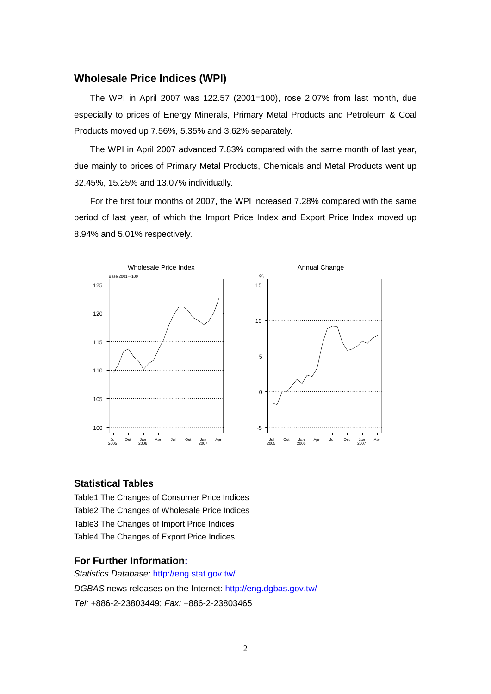#### **Wholesale Price Indices (WPI)**

The WPI in April 2007 was 122.57 (2001=100), rose 2.07% from last month, due especially to prices of Energy Minerals, Primary Metal Products and Petroleum & Coal Products moved up 7.56%, 5.35% and 3.62% separately.

The WPI in April 2007 advanced 7.83% compared with the same month of last year, due mainly to prices of Primary Metal Products, Chemicals and Metal Products went up 32.45%, 15.25% and 13.07% individually.

For the first four months of 2007, the WPI increased 7.28% compared with the same period of last year, of which the Import Price Index and Export Price Index moved up 8.94% and 5.01% respectively.



#### **Statistical Tables**

Table1 The Changes of Consumer Price Indices Table2 The Changes of Wholesale Price Indices Table3 The Changes of Import Price Indices Table4 The Changes of Export Price Indices

#### **For Further Information:**

*Statistics Database:* http://eng.stat.gov.tw/ *DGBAS* news releases on the Internet: http://eng.dgbas.gov.tw/ *Tel:* +886-2-23803449; *Fax:* +886-2-23803465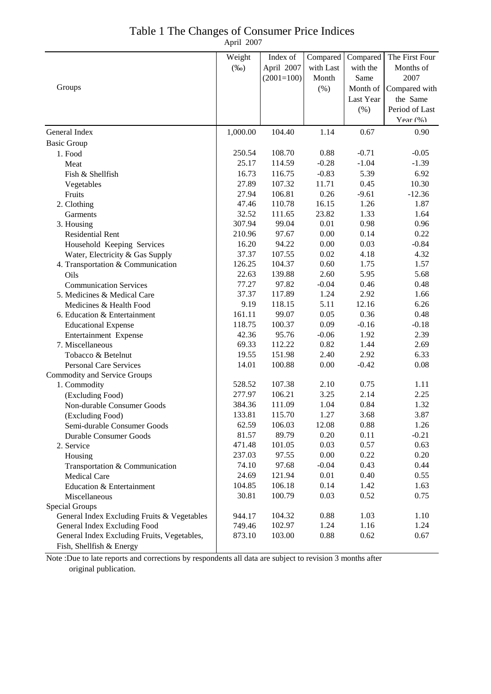| Table 1 The Changes of Consumer Price Indices |            |  |
|-----------------------------------------------|------------|--|
|                                               | April 2007 |  |

|                                             | Weight   | Index of     | Compared  | Compared  | The First Four |
|---------------------------------------------|----------|--------------|-----------|-----------|----------------|
|                                             | $(\%0)$  | April 2007   | with Last | with the  | Months of      |
|                                             |          | $(2001=100)$ | Month     | Same      | 2007           |
| Groups                                      |          |              | (% )      | Month of  | Compared with  |
|                                             |          |              |           | Last Year | the Same       |
|                                             |          |              |           | (% )      | Period of Last |
|                                             |          |              |           |           | Year $(\% )$   |
| General Index                               | 1,000.00 | 104.40       | 1.14      | 0.67      | 0.90           |
| <b>Basic Group</b>                          |          |              |           |           |                |
| 1. Food                                     | 250.54   | 108.70       | 0.88      | $-0.71$   | $-0.05$        |
| Meat                                        | 25.17    | 114.59       | $-0.28$   | $-1.04$   | $-1.39$        |
| Fish & Shellfish                            | 16.73    | 116.75       | $-0.83$   | 5.39      | 6.92           |
|                                             | 27.89    | 107.32       | 11.71     | 0.45      | 10.30          |
| Vegetables<br>Fruits                        | 27.94    | 106.81       | 0.26      | $-9.61$   | $-12.36$       |
| 2. Clothing                                 | 47.46    | 110.78       | 16.15     | 1.26      | 1.87           |
| <b>Garments</b>                             | 32.52    | 111.65       | 23.82     | 1.33      | 1.64           |
| 3. Housing                                  | 307.94   | 99.04        | 0.01      | 0.98      | 0.96           |
| <b>Residential Rent</b>                     | 210.96   | 97.67        | 0.00      | 0.14      | 0.22           |
| Household Keeping Services                  | 16.20    | 94.22        | 0.00      | 0.03      | $-0.84$        |
| Water, Electricity & Gas Supply             | 37.37    | 107.55       | 0.02      | 4.18      | 4.32           |
| 4. Transportation & Communication           | 126.25   | 104.37       | 0.60      | 1.75      | 1.57           |
| Oils                                        | 22.63    | 139.88       | 2.60      | 5.95      | 5.68           |
| <b>Communication Services</b>               | 77.27    | 97.82        | $-0.04$   | 0.46      | 0.48           |
| 5. Medicines & Medical Care                 | 37.37    | 117.89       | 1.24      | 2.92      | 1.66           |
| Medicines & Health Food                     | 9.19     | 118.15       | 5.11      | 12.16     | 6.26           |
| 6. Education & Entertainment                | 161.11   | 99.07        | 0.05      | 0.36      | 0.48           |
| <b>Educational Expense</b>                  | 118.75   | 100.37       | 0.09      | $-0.16$   | $-0.18$        |
| Entertainment Expense                       | 42.36    | 95.76        | $-0.06$   | 1.92      | 2.39           |
| 7. Miscellaneous                            | 69.33    | 112.22       | 0.82      | 1.44      | 2.69           |
| Tobacco & Betelnut                          | 19.55    | 151.98       | 2.40      | 2.92      | 6.33           |
| <b>Personal Care Services</b>               | 14.01    | 100.88       | 0.00      | $-0.42$   | 0.08           |
| <b>Commodity and Service Groups</b>         |          |              |           |           |                |
| 1. Commodity                                | 528.52   | 107.38       | 2.10      | 0.75      | 1.11           |
| (Excluding Food)                            | 277.97   | 106.21       | 3.25      | 2.14      | 2.25           |
| Non-durable Consumer Goods                  | 384.36   | 111.09       | 1.04      | 0.84      | 1.32           |
| (Excluding Food)                            | 133.81   | 115.70       | 1.27      | 3.68      | 3.87           |
| Semi-durable Consumer Goods                 | 62.59    | 106.03       | 12.08     | 0.88      | 1.26           |
| Durable Consumer Goods                      | 81.57    | 89.79        | 0.20      | 0.11      | $-0.21$        |
| 2. Service                                  | 471.48   | 101.05       | 0.03      | 0.57      | 0.63           |
| Housing                                     | 237.03   | 97.55        | 0.00      | 0.22      | 0.20           |
| Transportation & Communication              | 74.10    | 97.68        | $-0.04$   | 0.43      | 0.44           |
| <b>Medical Care</b>                         | 24.69    | 121.94       | 0.01      | 0.40      | 0.55           |
| Education & Entertainment                   | 104.85   | 106.18       | 0.14      | 1.42      | 1.63           |
| Miscellaneous                               | 30.81    | 100.79       | 0.03      | 0.52      | 0.75           |
| Special Groups                              |          |              |           |           |                |
| General Index Excluding Fruits & Vegetables | 944.17   | 104.32       | 0.88      | 1.03      | 1.10           |
| General Index Excluding Food                | 749.46   | 102.97       | 1.24      | 1.16      | 1.24           |
| General Index Excluding Fruits, Vegetables, | 873.10   | 103.00       | 0.88      | 0.62      | 0.67           |
| Fish, Shellfish & Energy                    |          |              |           |           |                |

Note :Due to late reports and corrections by respondents all data are subject to revision 3 months after original publication.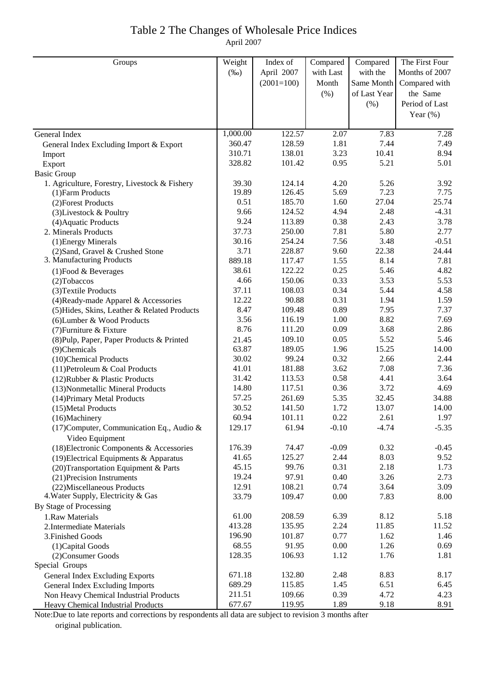#### Table 2 The Changes of Wholesale Price Indices April 2007

| Groups                                                            | Weight         | Index of        | Compared     | Compared     | The First Four |
|-------------------------------------------------------------------|----------------|-----------------|--------------|--------------|----------------|
|                                                                   | $(\%0)$        | April 2007      | with Last    | with the     | Months of 2007 |
|                                                                   |                | $(2001=100)$    | Month        | Same Month   | Compared with  |
|                                                                   |                |                 | (% )         | of Last Year | the Same       |
|                                                                   |                |                 |              |              | Period of Last |
|                                                                   |                |                 |              | (% )         |                |
|                                                                   |                |                 |              |              | Year $(\%)$    |
| General Index                                                     | 1,000.00       | 122.57          | 2.07         | 7.83         | 7.28           |
| General Index Excluding Import & Export                           | 360.47         | 128.59          | 1.81         | 7.44         | 7.49           |
| Import                                                            | 310.71         | 138.01          | 3.23         | 10.41        | 8.94           |
| Export                                                            | 328.82         | 101.42          | 0.95         | 5.21         | 5.01           |
| <b>Basic Group</b>                                                |                |                 |              |              |                |
| 1. Agriculture, Forestry, Livestock & Fishery                     | 39.30          | 124.14          | 4.20         | 5.26         | 3.92           |
| (1) Farm Products                                                 | 19.89          | 126.45          | 5.69         | 7.23         | 7.75           |
| (2) Forest Products                                               | 0.51           | 185.70          | 1.60         | 27.04        | 25.74          |
| (3) Livestock & Poultry                                           | 9.66           | 124.52          | 4.94         | 2.48         | $-4.31$        |
| (4) Aquatic Products                                              | 9.24           | 113.89          | 0.38         | 2.43         | 3.78           |
| 2. Minerals Products                                              | 37.73          | 250.00          | 7.81         | 5.80         | 2.77           |
| (1) Energy Minerals                                               | 30.16          | 254.24          | 7.56         | 3.48         | $-0.51$        |
| (2) Sand, Gravel & Crushed Stone                                  | 3.71           | 228.87          | 9.60         | 22.38        | 24.44          |
| 3. Manufacturing Products                                         | 889.18         | 117.47          | 1.55         | 8.14         | 7.81           |
| $(1)$ Food & Beverages                                            | 38.61          | 122.22          | 0.25         | 5.46         | 4.82           |
| $(2)$ Tobaccos                                                    | 4.66           | 150.06          | 0.33         | 3.53         | 5.53           |
| (3) Textile Products                                              | 37.11          | 108.03          | 0.34         | 5.44         | 4.58           |
| (4) Ready-made Apparel & Accessories                              | 12.22          | 90.88           | 0.31         | 1.94         | 1.59           |
| (5) Hides, Skins, Leather & Related Products                      | 8.47           | 109.48          | 0.89         | 7.95         | 7.37           |
| (6) Lumber & Wood Products                                        | 3.56           | 116.19          | 1.00         | 8.82         | 7.69           |
| (7) Furniture & Fixture                                           | 8.76           | 111.20          | 0.09         | 3.68         | 2.86           |
| (8) Pulp, Paper, Paper Products & Printed                         | 21.45          | 109.10          | 0.05         | 5.52         | 5.46           |
| (9) Chemicals                                                     | 63.87          | 189.05          | 1.96         | 15.25        | 14.00          |
| (10)Chemical Products                                             | 30.02          | 99.24           | 0.32         | 2.66         | 2.44           |
| (11) Petroleum & Coal Products                                    | 41.01          | 181.88          | 3.62         | 7.08         | 7.36           |
| (12) Rubber & Plastic Products                                    | 31.42          | 113.53          | 0.58         | 4.41         | 3.64           |
| (13) Nonmetallic Mineral Products                                 | 14.80          | 117.51          | 0.36         | 3.72         | 4.69           |
| (14) Primary Metal Products                                       | 57.25          | 261.69          | 5.35         | 32.45        | 34.88          |
| (15) Metal Products                                               | 30.52          | 141.50          | 1.72         | 13.07        | 14.00          |
| (16)Machinery                                                     | 60.94          | 101.11          | 0.22         | 2.61         | 1.97           |
| (17) Computer, Communication Eq., Audio $\&$                      | 129.17         | 61.94           | $-0.10$      | $-4.74$      | $-5.35$        |
| Video Equipment                                                   |                |                 |              |              |                |
| (18) Electronic Components & Accessories                          | 176.39         | 74.47           | $-0.09$      | 0.32         | $-0.45$        |
| $(19)$ Electrical Equipments & Apparatus                          | 41.65<br>45.15 | 125.27<br>99.76 | 2.44<br>0.31 | 8.03<br>2.18 | 9.52<br>1.73   |
| (20) Transportation Equipment & Parts                             | 19.24          | 97.91           | 0.40         | 3.26         | 2.73           |
| (21) Precision Instruments                                        | 12.91          | 108.21          | 0.74         | 3.64         | 3.09           |
| (22) Miscellaneous Products<br>4. Water Supply, Electricity & Gas | 33.79          | 109.47          | 0.00         | 7.83         | 8.00           |
| By Stage of Processing                                            |                |                 |              |              |                |
| 1.Raw Materials                                                   | 61.00          | 208.59          | 6.39         | 8.12         | 5.18           |
| 2. Intermediate Materials                                         | 413.28         | 135.95          | 2.24         | 11.85        | 11.52          |
| 3. Finished Goods                                                 | 196.90         | 101.87          | 0.77         | 1.62         | 1.46           |
| (1) Capital Goods                                                 | 68.55          | 91.95           | 0.00         | 1.26         | 0.69           |
| (2) Consumer Goods                                                | 128.35         | 106.93          | 1.12         | 1.76         | 1.81           |
| Special Groups                                                    |                |                 |              |              |                |
| General Index Excluding Exports                                   | 671.18         | 132.80          | 2.48         | 8.83         | 8.17           |
| <b>General Index Excluding Imports</b>                            | 689.29         | 115.85          | 1.45         | 6.51         | 6.45           |
| Non Heavy Chemical Industrial Products                            | 211.51         | 109.66          | 0.39         | 4.72         | 4.23           |
| Heavy Chemical Industrial Products                                | 677.67         | 119.95          | 1.89         | 9.18         | 8.91           |

Note:Due to late reports and corrections by respondents all data are subject to revision 3 months after original publication.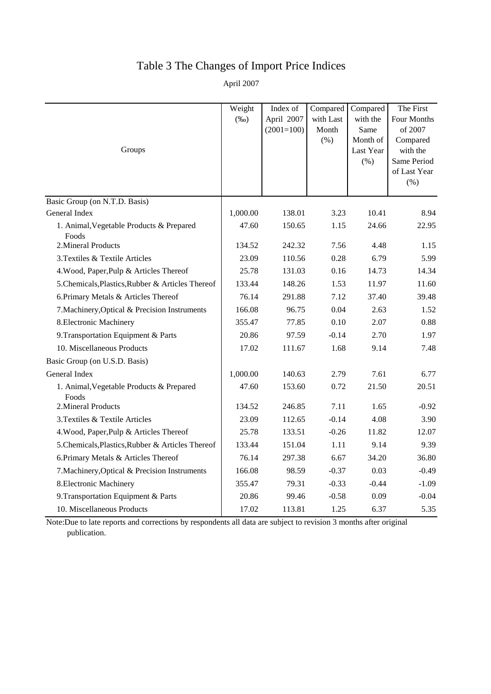## Table 3 The Changes of Import Price Indices

April 2007

|                                                   | Weight   | Index of     | Compared  | Compared          | The First               |
|---------------------------------------------------|----------|--------------|-----------|-------------------|-------------------------|
|                                                   | $(\%0)$  | April 2007   | with Last | with the          | Four Months             |
|                                                   |          | $(2001=100)$ | Month     | Same              | of 2007                 |
|                                                   |          |              | (% )      | Month of          | Compared                |
| Groups                                            |          |              |           | Last Year<br>(% ) | with the<br>Same Period |
|                                                   |          |              |           |                   | of Last Year            |
|                                                   |          |              |           |                   | (%)                     |
| Basic Group (on N.T.D. Basis)                     |          |              |           |                   |                         |
| General Index                                     | 1,000.00 | 138.01       | 3.23      | 10.41             | 8.94                    |
| 1. Animal, Vegetable Products & Prepared          | 47.60    | 150.65       | 1.15      | 24.66             | 22.95                   |
| Foods                                             |          |              |           |                   |                         |
| 2. Mineral Products                               | 134.52   | 242.32       | 7.56      | 4.48              | 1.15                    |
| 3. Textiles & Textile Articles                    | 23.09    | 110.56       | 0.28      | 6.79              | 5.99                    |
| 4. Wood, Paper, Pulp & Articles Thereof           | 25.78    | 131.03       | 0.16      | 14.73             | 14.34                   |
| 5. Chemicals, Plastics, Rubber & Articles Thereof | 133.44   | 148.26       | 1.53      | 11.97             | 11.60                   |
| 6. Primary Metals & Articles Thereof              | 76.14    | 291.88       | 7.12      | 37.40             | 39.48                   |
| 7. Machinery, Optical & Precision Instruments     | 166.08   | 96.75        | 0.04      | 2.63              | 1.52                    |
| 8. Electronic Machinery                           | 355.47   | 77.85        | 0.10      | 2.07              | 0.88                    |
| 9. Transportation Equipment & Parts               | 20.86    | 97.59        | $-0.14$   | 2.70              | 1.97                    |
| 10. Miscellaneous Products                        | 17.02    | 111.67       | 1.68      | 9.14              | 7.48                    |
| Basic Group (on U.S.D. Basis)                     |          |              |           |                   |                         |
| General Index                                     | 1,000.00 | 140.63       | 2.79      | 7.61              | 6.77                    |
| 1. Animal, Vegetable Products & Prepared<br>Foods | 47.60    | 153.60       | 0.72      | 21.50             | 20.51                   |
| 2. Mineral Products                               | 134.52   | 246.85       | 7.11      | 1.65              | $-0.92$                 |
| 3. Textiles & Textile Articles                    | 23.09    | 112.65       | $-0.14$   | 4.08              | 3.90                    |
| 4. Wood, Paper, Pulp & Articles Thereof           | 25.78    | 133.51       | $-0.26$   | 11.82             | 12.07                   |
| 5. Chemicals, Plastics, Rubber & Articles Thereof | 133.44   | 151.04       | 1.11      | 9.14              | 9.39                    |
| 6. Primary Metals & Articles Thereof              | 76.14    | 297.38       | 6.67      | 34.20             | 36.80                   |
| 7. Machinery, Optical & Precision Instruments     | 166.08   | 98.59        | $-0.37$   | 0.03              | $-0.49$                 |
| 8. Electronic Machinery                           | 355.47   | 79.31        | $-0.33$   | $-0.44$           | $-1.09$                 |
| 9. Transportation Equipment & Parts               | 20.86    | 99.46        | $-0.58$   | 0.09              | $-0.04$                 |
| 10. Miscellaneous Products                        | 17.02    | 113.81       | 1.25      | 6.37              | 5.35                    |

Note:Due to late reports and corrections by respondents all data are subject to revision 3 months after original publication.